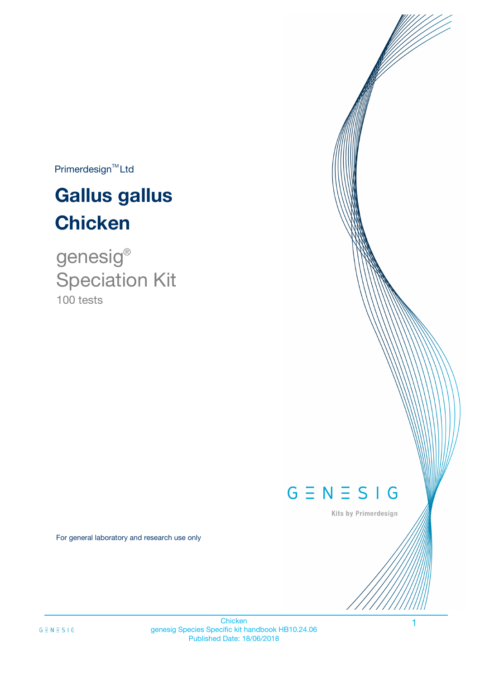$Primerdesign^{TM}$ Ltd

# **Gallus gallus Chicken**

100 tests genesig ® Speciation Kit

# $G \equiv N \equiv S \mid G$

Kits by Primerdesign

1

For general laboratory and research use only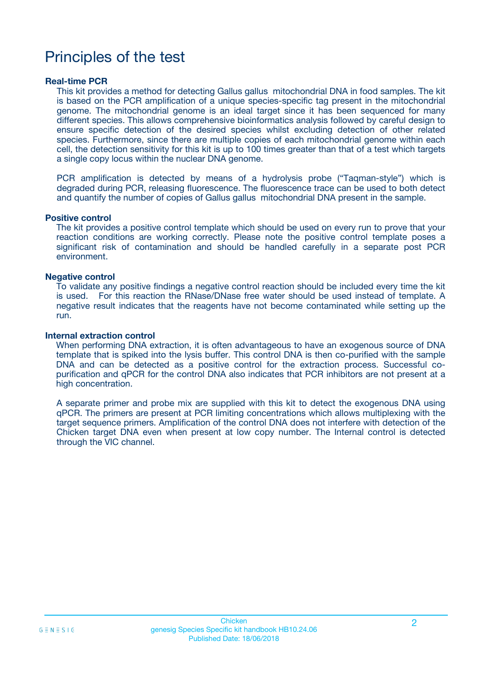# Principles of the test

### **Real-time PCR**

This kit provides a method for detecting Gallus gallus mitochondrial DNA in food samples. The kit is based on the PCR amplification of a unique species-specific tag present in the mitochondrial genome. The mitochondrial genome is an ideal target since it has been sequenced for many different species. This allows comprehensive bioinformatics analysis followed by careful design to ensure specific detection of the desired species whilst excluding detection of other related species. Furthermore, since there are multiple copies of each mitochondrial genome within each cell, the detection sensitivity for this kit is up to 100 times greater than that of a test which targets a single copy locus within the nuclear DNA genome.

PCR amplification is detected by means of a hydrolysis probe ("Taqman-style") which is degraded during PCR, releasing fluorescence. The fluorescence trace can be used to both detect and quantify the number of copies of Gallus gallus mitochondrial DNA present in the sample.

#### **Positive control**

The kit provides a positive control template which should be used on every run to prove that your reaction conditions are working correctly. Please note the positive control template poses a significant risk of contamination and should be handled carefully in a separate post PCR environment.

### **Negative control**

To validate any positive findings a negative control reaction should be included every time the kit is used. For this reaction the RNase/DNase free water should be used instead of template. A negative result indicates that the reagents have not become contaminated while setting up the run.

#### **Internal extraction control**

When performing DNA extraction, it is often advantageous to have an exogenous source of DNA template that is spiked into the lysis buffer. This control DNA is then co-purified with the sample DNA and can be detected as a positive control for the extraction process. Successful copurification and qPCR for the control DNA also indicates that PCR inhibitors are not present at a high concentration.

A separate primer and probe mix are supplied with this kit to detect the exogenous DNA using qPCR. The primers are present at PCR limiting concentrations which allows multiplexing with the target sequence primers. Amplification of the control DNA does not interfere with detection of the Chicken target DNA even when present at low copy number. The Internal control is detected through the VIC channel.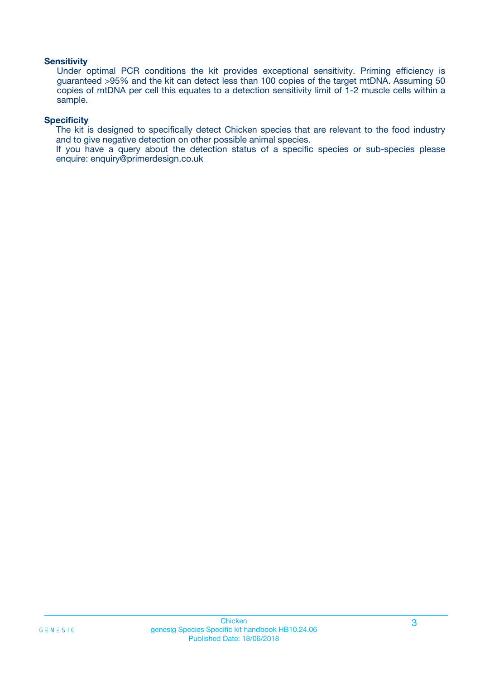### **Sensitivity**

Under optimal PCR conditions the kit provides exceptional sensitivity. Priming efficiency is guaranteed >95% and the kit can detect less than 100 copies of the target mtDNA. Assuming 50 copies of mtDNA per cell this equates to a detection sensitivity limit of 1-2 muscle cells within a sample.

### **Specificity**

The kit is designed to specifically detect Chicken species that are relevant to the food industry and to give negative detection on other possible animal species.

If you have a query about the detection status of a specific species or sub-species please enquire: enquiry@primerdesign.co.uk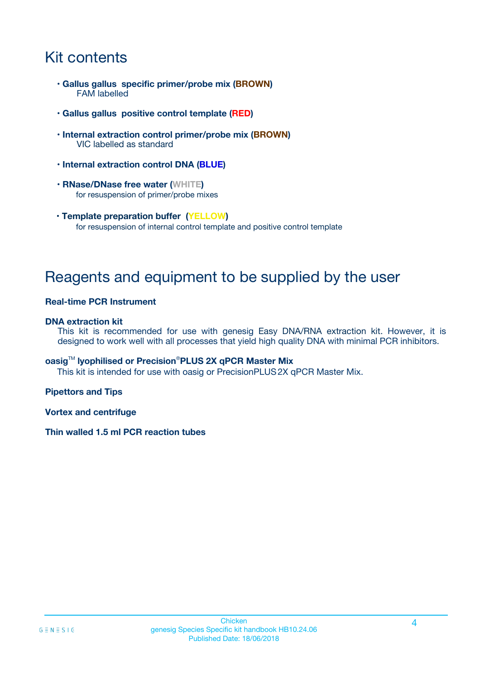# Kit contents

- **Gallus gallus specific primer/probe mix (BROWN)** FAM labelled
- **Gallus gallus positive control template (RED)**
- **Internal extraction control primer/probe mix (BROWN)** VIC labelled as standard
- **Internal extraction control DNA (BLUE)**
- **RNase/DNase free water (WHITE)** for resuspension of primer/probe mixes
- **Template preparation buffer (YELLOW)** for resuspension of internal control template and positive control template

# Reagents and equipment to be supplied by the user

### **Real-time PCR Instrument**

### **DNA extraction kit**

This kit is recommended for use with genesig Easy DNA/RNA extraction kit. However, it is designed to work well with all processes that yield high quality DNA with minimal PCR inhibitors.

### **oasig**TM **lyophilised or Precision**®**PLUS 2X qPCR Master Mix**

This kit is intended for use with oasig or PrecisionPLUS2X qPCR Master Mix.

### **Pipettors and Tips**

**Vortex and centrifuge**

### **Thin walled 1.5 ml PCR reaction tubes**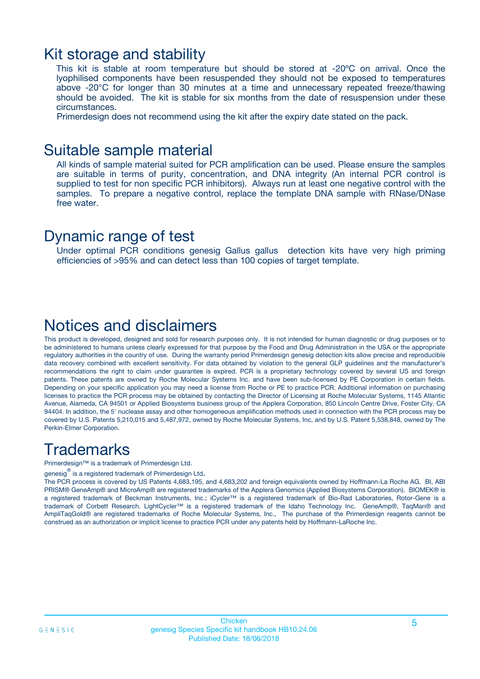### Kit storage and stability

This kit is stable at room temperature but should be stored at -20ºC on arrival. Once the lyophilised components have been resuspended they should not be exposed to temperatures above -20°C for longer than 30 minutes at a time and unnecessary repeated freeze/thawing should be avoided. The kit is stable for six months from the date of resuspension under these circumstances.

Primerdesign does not recommend using the kit after the expiry date stated on the pack.

### Suitable sample material

All kinds of sample material suited for PCR amplification can be used. Please ensure the samples are suitable in terms of purity, concentration, and DNA integrity (An internal PCR control is supplied to test for non specific PCR inhibitors). Always run at least one negative control with the samples. To prepare a negative control, replace the template DNA sample with RNase/DNase free water.

### Dynamic range of test

Under optimal PCR conditions genesig Gallus gallus detection kits have very high priming efficiencies of >95% and can detect less than 100 copies of target template.

## Notices and disclaimers

This product is developed, designed and sold for research purposes only. It is not intended for human diagnostic or drug purposes or to be administered to humans unless clearly expressed for that purpose by the Food and Drug Administration in the USA or the appropriate regulatory authorities in the country of use. During the warranty period Primerdesign genesig detection kits allow precise and reproducible data recovery combined with excellent sensitivity. For data obtained by violation to the general GLP guidelines and the manufacturer's recommendations the right to claim under guarantee is expired. PCR is a proprietary technology covered by several US and foreign patents. These patents are owned by Roche Molecular Systems Inc. and have been sub-licensed by PE Corporation in certain fields. Depending on your specific application you may need a license from Roche or PE to practice PCR. Additional information on purchasing licenses to practice the PCR process may be obtained by contacting the Director of Licensing at Roche Molecular Systems, 1145 Atlantic Avenue, Alameda, CA 94501 or Applied Biosystems business group of the Applera Corporation, 850 Lincoln Centre Drive, Foster City, CA 94404. In addition, the 5' nuclease assay and other homogeneous amplification methods used in connection with the PCR process may be covered by U.S. Patents 5,210,015 and 5,487,972, owned by Roche Molecular Systems, Inc, and by U.S. Patent 5,538,848, owned by The Perkin-Elmer Corporation.

# **Trademarks**

Primerdesign™ is a trademark of Primerdesign Ltd.

genesig $^\circledR$  is a registered trademark of Primerdesign Ltd.

The PCR process is covered by US Patents 4,683,195, and 4,683,202 and foreign equivalents owned by Hoffmann-La Roche AG. BI, ABI PRISM® GeneAmp® and MicroAmp® are registered trademarks of the Applera Genomics (Applied Biosystems Corporation). BIOMEK® is a registered trademark of Beckman Instruments, Inc.; iCycler™ is a registered trademark of Bio-Rad Laboratories, Rotor-Gene is a trademark of Corbett Research. LightCycler™ is a registered trademark of the Idaho Technology Inc. GeneAmp®, TaqMan® and AmpliTaqGold® are registered trademarks of Roche Molecular Systems, Inc., The purchase of the Primerdesign reagents cannot be construed as an authorization or implicit license to practice PCR under any patents held by Hoffmann-LaRoche Inc.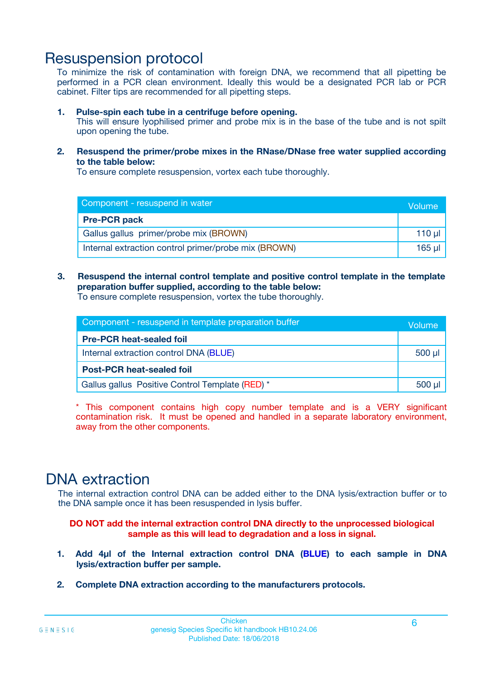# Resuspension protocol

To minimize the risk of contamination with foreign DNA, we recommend that all pipetting be performed in a PCR clean environment. Ideally this would be a designated PCR lab or PCR cabinet. Filter tips are recommended for all pipetting steps.

### **1. Pulse-spin each tube in a centrifuge before opening.**

This will ensure lyophilised primer and probe mix is in the base of the tube and is not spilt upon opening the tube.

**2. Resuspend the primer/probe mixes in the RNase/DNase free water supplied according to the table below:**

To ensure complete resuspension, vortex each tube thoroughly.

| Component - resuspend in water                       |         |  |
|------------------------------------------------------|---------|--|
| <b>Pre-PCR pack</b>                                  |         |  |
| Gallus gallus primer/probe mix (BROWN)               | $110$ µ |  |
| Internal extraction control primer/probe mix (BROWN) | 165 ul  |  |

### **3. Resuspend the internal control template and positive control template in the template preparation buffer supplied, according to the table below:**

To ensure complete resuspension, vortex the tube thoroughly.

| Component - resuspend in template preparation buffer |  |  |
|------------------------------------------------------|--|--|
| <b>Pre-PCR heat-sealed foil</b>                      |  |  |
| Internal extraction control DNA (BLUE)               |  |  |
| <b>Post-PCR heat-sealed foil</b>                     |  |  |
| Gallus gallus Positive Control Template (RED) *      |  |  |

\* This component contains high copy number template and is a VERY significant contamination risk. It must be opened and handled in a separate laboratory environment, away from the other components.

# DNA extraction

The internal extraction control DNA can be added either to the DNA lysis/extraction buffer or to the DNA sample once it has been resuspended in lysis buffer.

**DO NOT add the internal extraction control DNA directly to the unprocessed biological sample as this will lead to degradation and a loss in signal.**

- **1. Add 4µl of the Internal extraction control DNA (BLUE) to each sample in DNA lysis/extraction buffer per sample.**
- **2. Complete DNA extraction according to the manufacturers protocols.**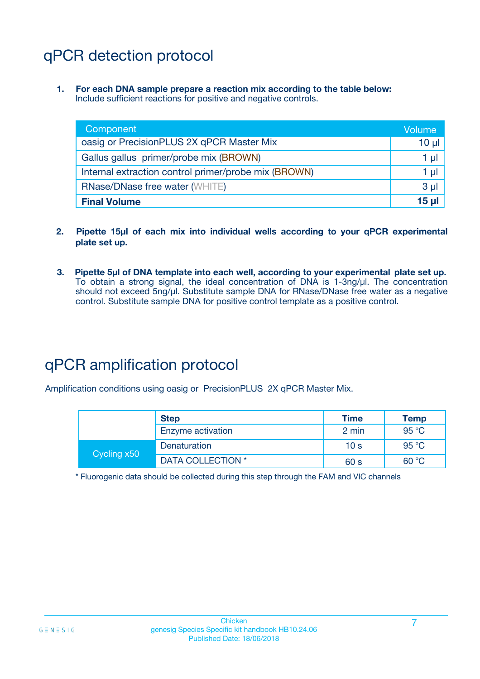# qPCR detection protocol

**1. For each DNA sample prepare a reaction mix according to the table below:** Include sufficient reactions for positive and negative controls.

| Component                                            | Volume         |
|------------------------------------------------------|----------------|
| oasig or PrecisionPLUS 2X qPCR Master Mix            | $10 \mu$       |
| Gallus gallus primer/probe mix (BROWN)               | 1 µl           |
| Internal extraction control primer/probe mix (BROWN) | 1 µl           |
| <b>RNase/DNase free water (WHITE)</b>                | 3 <sub>µ</sub> |
| <b>Final Volume</b>                                  | 15 ul          |

- **2. Pipette 15µl of each mix into individual wells according to your qPCR experimental plate set up.**
- **3. Pipette 5µl of DNA template into each well, according to your experimental plate set up.** To obtain a strong signal, the ideal concentration of DNA is 1-3ng/µl. The concentration should not exceed 5ng/µl. Substitute sample DNA for RNase/DNase free water as a negative control. Substitute sample DNA for positive control template as a positive control.

# qPCR amplification protocol

Amplification conditions using oasig or PrecisionPLUS 2X qPCR Master Mix.

|             | <b>Step</b>       | <b>Time</b>     | <b>Temp</b>    |
|-------------|-------------------|-----------------|----------------|
|             | Enzyme activation | 2 min           | 95 °C          |
| Cycling x50 | Denaturation      | 10 <sub>s</sub> | 95 $\degree$ C |
|             | DATA COLLECTION * | 60 s            | 60 °C          |

\* Fluorogenic data should be collected during this step through the FAM and VIC channels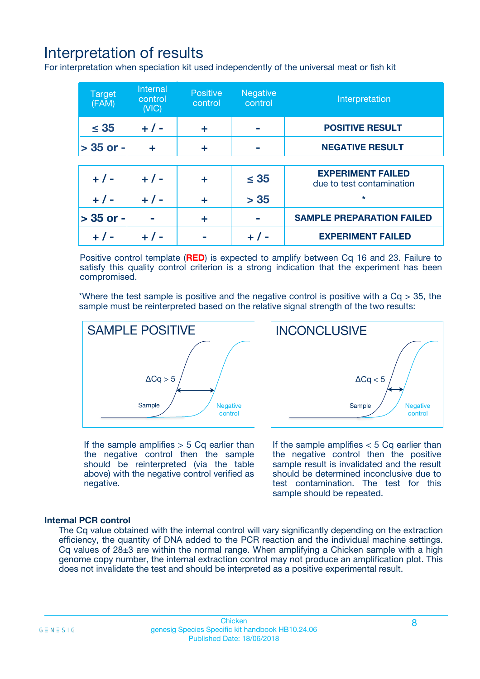# Interpretation of results

For interpretation when speciation kit used independently of the universal meat or fish kit

| <b>Target</b><br>(FAM) | <b>Internal</b><br>control<br>(VIC) | <b>Positive</b><br>control | <b>Negative</b><br>control | Interpretation                                        |
|------------------------|-------------------------------------|----------------------------|----------------------------|-------------------------------------------------------|
| $\leq 35$              | $+ 1 -$                             | ÷                          |                            | <b>POSITIVE RESULT</b>                                |
| $> 35$ or -            | ÷                                   | ÷                          |                            | <b>NEGATIVE RESULT</b>                                |
|                        |                                     |                            |                            |                                                       |
| $+ 1 -$                | $+ 1 -$                             | ÷                          | $\leq 35$                  | <b>EXPERIMENT FAILED</b><br>due to test contamination |
| $+ 1 -$                | $+ 1 -$                             | ٠                          | > 35                       | $\star$                                               |
| $> 35$ or -            |                                     | ÷                          |                            | <b>SAMPLE PREPARATION FAILED</b>                      |
|                        |                                     |                            |                            | <b>EXPERIMENT FAILED</b>                              |

Positive control template (**RED**) is expected to amplify between Cq 16 and 23. Failure to satisfy this quality control criterion is a strong indication that the experiment has been compromised.

\*Where the test sample is positive and the negative control is positive with a  $Ca > 35$ , the sample must be reinterpreted based on the relative signal strength of the two results:



If the sample amplifies  $> 5$  Cq earlier than the negative control then the sample should be reinterpreted (via the table above) with the negative control verified as negative.

Sample  $/$  / Negative control  $\Delta$ Ca < 5 **INCONCLUSIVE** 

If the sample amplifies  $< 5$  Cq earlier than the negative control then the positive sample result is invalidated and the result should be determined inconclusive due to test contamination. The test for this sample should be repeated.

### **Internal PCR control**

The Cq value obtained with the internal control will vary significantly depending on the extraction efficiency, the quantity of DNA added to the PCR reaction and the individual machine settings. Cq values of  $28\pm3$  are within the normal range. When amplifying a Chicken sample with a high genome copy number, the internal extraction control may not produce an amplification plot. This does not invalidate the test and should be interpreted as a positive experimental result.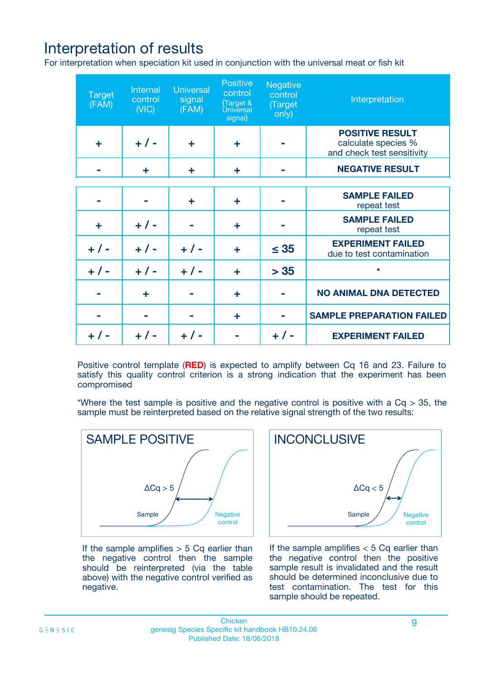# Interpretation of results

For interpretation when speciation kit used in conjunction with the universal meat or fish kit

| <b>Target</b><br>(FAM) | Internal<br>control<br>(NIC) | <b>Universal</b><br>signal<br>(FAM) | Positive<br>control<br>(Target &<br><b>Universal</b><br>signal) | <b>Negative</b><br>control<br>(Target<br>only) | Interpretation                                                              |
|------------------------|------------------------------|-------------------------------------|-----------------------------------------------------------------|------------------------------------------------|-----------------------------------------------------------------------------|
| ÷                      | $+$ / -                      | ÷                                   | ÷                                                               |                                                | <b>POSITIVE RESULT</b><br>calculate species %<br>and check test sensitivity |
|                        | ÷                            | ÷                                   | ÷                                                               |                                                | <b>NEGATIVE RESULT</b>                                                      |
|                        |                              |                                     |                                                                 |                                                |                                                                             |
|                        |                              | ÷                                   | ÷                                                               |                                                | <b>SAMPLE FAILED</b><br>repeat test                                         |
| ÷                      | $+ 1 -$                      |                                     | ÷                                                               |                                                | <b>SAMPLE FAILED</b><br>repeat test                                         |
| $+/-$                  | $+/-$                        | $+ 1 -$                             | ÷                                                               | $\leq 35$                                      | <b>EXPERIMENT FAILED</b><br>due to test contamination                       |
| $+ 1 -$                | $+/-$                        | $+/-$                               | ÷                                                               | > 35                                           | $\star$                                                                     |
|                        | ÷                            |                                     | ÷                                                               |                                                | <b>NO ANIMAL DNA DETECTED</b>                                               |
|                        |                              |                                     | ÷                                                               |                                                | <b>SAMPLE PREPARATION FAILED</b>                                            |
| $+  / -$               | $+ 1 -$                      |                                     |                                                                 |                                                | <b>EXPERIMENT FAILED</b>                                                    |

Positive control template (**RED**) is expected to amplify between Cq 16 and 23. Failure to satisfy this quality control criterion is a strong indication that the experiment has been compromised

\*Where the test sample is positive and the negative control is positive with a  $Cq > 35$ , the sample must be reinterpreted based on the relative signal strength of the two results:



If the sample amplifies  $> 5$  Cq earlier than the negative control then the sample should be reinterpreted (via the table above) with the negative control verified as negative.



If the sample amplifies  $< 5$  Cq earlier than the negative control then the positive sample result is invalidated and the result should be determined inconclusive due to test contamination. The test for this sample should be repeated.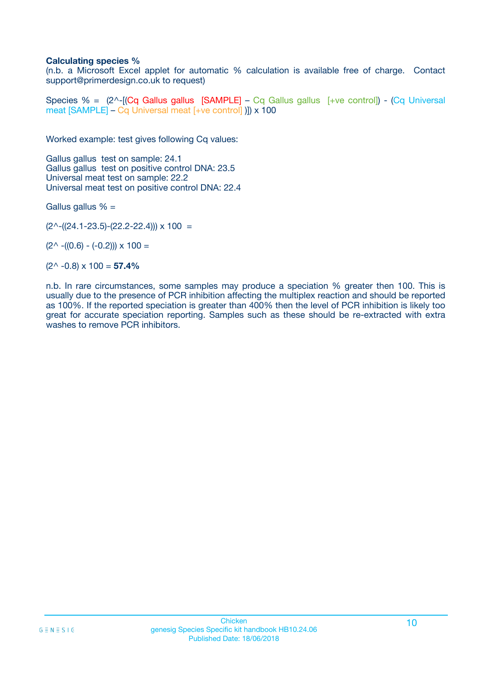### **Calculating species %**

(n.b. a Microsoft Excel applet for automatic % calculation is available free of charge. Contact support@primerdesign.co.uk to request)

Species % =  $(2^{\wedge}$ -[(Cq Gallus gallus [SAMPLE] – Cq Gallus gallus [+ve control]) - (Cq Universal meat [SAMPLE] – Cq Universal meat [+ve control] )]) x 100

Worked example: test gives following Cq values:

Gallus gallus test on sample: 24.1 Gallus gallus test on positive control DNA: 23.5 Universal meat test on sample: 22.2 Universal meat test on positive control DNA: 22.4

Gallus gallus  $% =$ 

 $(2^{\wedge}-(24.1-23.5)-(22.2-22.4))) \times 100 =$ 

 $(2^{\wedge}$  -((0.6) - (-0.2)))  $\times$  100 =

(2^ -0.8) x 100 = **57.4%**

n.b. In rare circumstances, some samples may produce a speciation % greater then 100. This is usually due to the presence of PCR inhibition affecting the multiplex reaction and should be reported as 100%. If the reported speciation is greater than 400% then the level of PCR inhibition is likely too great for accurate speciation reporting. Samples such as these should be re-extracted with extra washes to remove PCR inhibitors.